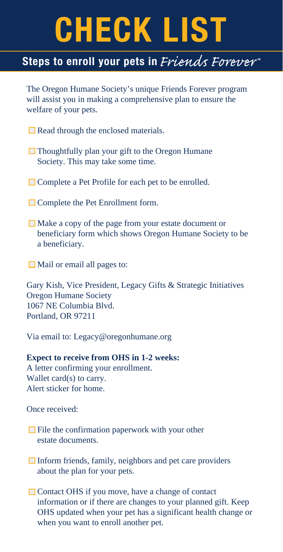# **CHECK LIST**

### Steps to enroll your pets in *Friends Forever*

The Oregon Humane Society's unique Friends Forever program will assist you in making a comprehensive plan to ensure the welfare of your pets.

- $\Box$  Read through the enclosed materials.
- $\Box$  Thoughtfully plan your gift to the Oregon Humane Society. This may take some time.
- **□ Complete a Pet Profile for each pet to be enrolled.**
- **□ Complete the Pet Enrollment form.**
- Make a copy of the page from your estate document or beneficiary form which shows Oregon Humane Society to be a beneficiary.
- $\Box$  Mail or email all pages to:

Gary Kish, Vice President, Legacy Gifts & Strategic Initiatives Oregon Humane Society 1067 NE Columbia Blvd. Portland, OR 97211

Via email to: Legacy@oregonhumane.org

#### **Expect to receive from OHS in 1-2 weeks:**

A letter confirming your enrollment. Wallet card(s) to carry. Alert sticker for home.

Once received:

- $\Box$  File the confirmation paperwork with your other estate documents.
- $\Box$  Inform friends, family, neighbors and pet care providers about the plan for your pets.
- $\Box$  Contact OHS if you move, have a change of contact information or if there are changes to your planned gift. Keep OHS updated when your pet has a significant health change or when you want to enroll another pet.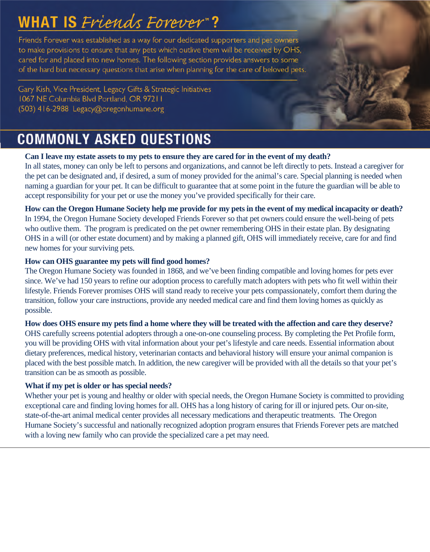## **WHAT IS** Friends Forever"?

Friends Forever was established as a way for our dedicated supporters and pet owners to make provisions to ensure that any pets which outlive them will be received by OHS, cared for and placed into new homes. The following section provides answers to some of the hard but necessary questions that arise when planning for the care of beloved pets.

Gary Kish, Vice President, Legacy Gifts & Strategic Initiatives 1067 NE Columbia Blvd Portland, OR 97211 (503) 416-2988 Legacy@oregonhumane.org

### **COMMONLY ASKED QUESTIONS**

### **Can I leave my estate assets to my pets to ensure they are cared for in the event of my death?**

In all states, money can only be left to persons and organizations, and cannot be left directly to pets. Instead a caregiver for the pet can be designated and, if desired, a sum of money provided for the animal's care. Special planning is needed when naming a guardian for your pet. It can be difficult to guarantee that at some point in the future the guardian will be able to accept responsibility for your pet or use the money you've provided specifically for their care.

**How can the Oregon Humane Society help me provide for my pets in the event of my medical incapacity or death?** In 1994, the Oregon Humane Society developed Friends Forever so that pet owners could ensure the well-being of pets who outlive them. The program is predicated on the pet owner remembering OHS in their estate plan. By designating OHS in a will (or other estate document) and by making a planned gift, OHS will immediately receive, care for and find new homes for your surviving pets.

#### **How can OHS guarantee my pets will find good homes?**

The Oregon Humane Society was founded in 1868, and we've been finding compatible and loving homes for pets ever since. We've had 150 years to refine our adoption process to carefully match adopters with pets who fit well within their lifestyle. Friends Forever promises OHS will stand ready to receive your pets compassionately, comfort them during the transition, follow your care instructions, provide any needed medical care and find them loving homes as quickly as possible.

#### **How does OHS ensure my pets find a home where they will be treated with the affection and care they deserve?**

OHS carefully screens potential adopters through a one-on-one counseling process. By completing the Pet Profile form, you will be providing OHS with vital information about your pet's lifestyle and care needs. Essential information about dietary preferences, medical history, veterinarian contacts and behavioral history will ensure your animal companion is placed with the best possible match. In addition, the new caregiver will be provided with all the details so that your pet's transition can be as smooth as possible.

#### **What if my pet is older or has special needs?**

Whether your pet is young and healthy or older with special needs, the Oregon Humane Society is committed to providing exceptional care and finding loving homes for all. OHS has a long history of caring for ill or injured pets. Our on-site, state-of-the-art animal medical center provides all necessary medications and therapeutic treatments. The Oregon Humane Society's successful and nationally recognized adoption program ensures that Friends Forever pets are matched with a loving new family who can provide the specialized care a pet may need.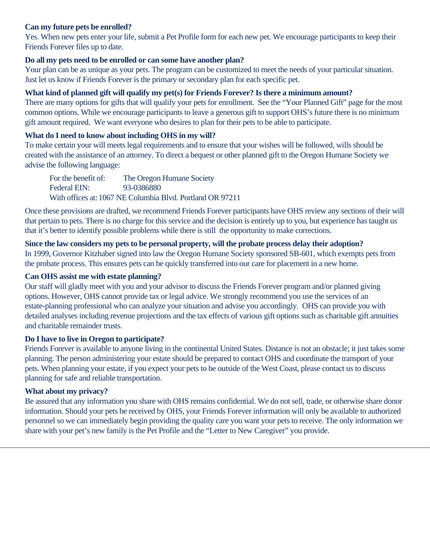#### **Can my future pets be enrolled?**

Yes. When new pets enter your life, submit a Pet Profile form for each new pet. We encourage participants to keep their Friends Forever files up to date.

#### **Do all my pets need to be enrolled or can some have another plan?**

Your plan can be as unique as your pets. The program can be customized to meet the needs of your particular situation. Just let us know if Friends Forever is the primary or secondary plan for each specific pet.

#### **What kind of planned gift will qualify my pet(s) for Friends Forever? Is there a minimum amount?**

There are many options for gifts that will qualify your pets for enrollment. See the "Your Planned Gift" page for the most common options. While we encourage participants to leave a generous gift to support OHS's future there is no minimum gift amount required. We want everyone who desires to plan for their pets to be able to participate.

#### **What do I need to know about including OHS in my will?**

To make certain your will meets legal requirements and to ensure that your wishes will be followed, wills should be created with the assistance of an attorney. To direct a bequest or other planned gift to the Oregon Humane Society we advise the following language:

 For the benefit of: The Oregon Humane Society Federal EIN: 93-0386880 With offices at: 1067 NE Columbia Blvd. Portland OR 97211

Once these provisions are drafted, we recommend Friends Forever participants have OHS review any sections of their will that pertain to pets. There is no charge for this service and the decision is entirely up to you, but experience has taught us that it's better to identify possible problems while there is still the opportunity to make corrections.

#### **Since the law considers my pets to be personal property, will the probate process delay their adoption?**

In 1999, Governor Kitzhaber signed into law the Oregon Humane Society sponsored SB-601, which exempts pets from the probate process. This ensures pets can be quickly transferred into our care for placement in a new home.

#### **Can OHS assist me with estate planning?**

Our staff will gladly meet with you and your advisor to discuss the Friends Forever program and/or planned giving options. However, OHS cannot provide tax or legal advice. We strongly recommend you use the services of an estate-planning professional who can analyze your situation and advise you accordingly. OHS can provide you with detailed analyses including revenue projections and the tax effects of various gift options such as charitable gift annuities and charitable remainder trusts.

#### **Do I have to live in Oregon to participate?**

Friends Forever is available to anyone living in the continental United States. Distance is not an obstacle; it just takes some planning. The person administering your estate should be prepared to contact OHS and coordinate the transport of your pets. When planning your estate, if you expect your pets to be outside of the West Coast, please contact us to discuss planning for safe and reliable transportation.

#### **What about my privacy?**

Be assured that any information you share with OHS remains confidential. We do not sell, trade, or otherwise share donor information. Should your pets be received by OHS, your Friends Forever information will only be available to authorized personnel so we can immediately begin providing the quality care you want your pets to receive. The only information we share with your pet's new family is the Pet Profile and the "Letter to New Caregiver" you provide.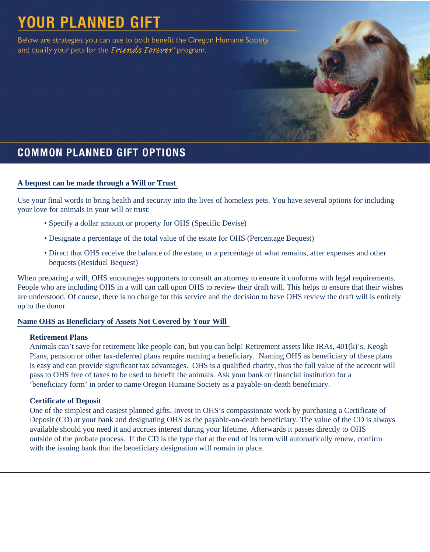## **YOUR PLANNED GIFT**

Below are strategies you can use to both benefit the Oregon Humane Society and qualify your pets for the Friends Forever" program.

### **COMMON PLANNED GIFT OPTIONS**

#### **A bequest can be made through a Will or Trust**

Use your final words to bring health and security into the lives of homeless pets. You have several options for including your love for animals in your will or trust:

- Specify a dollar amount or property for OHS (Specific Devise)
- Designate a percentage of the total value of the estate for OHS (Percentage Bequest)
- Direct that OHS receive the balance of the estate, or a percentage of what remains, after expenses and other bequests (Residual Bequest)

When preparing a will, OHS encourages supporters to consult an attorney to ensure it conforms with legal requirements. People who are including OHS in a will can call upon OHS to review their draft will. This helps to ensure that their wishes are understood. Of course, there is no charge for this service and the decision to have OHS review the draft will is entirely up to the donor.

#### **Name OHS as Beneficiary of Assets Not Covered by Your Will**

#### **Retirement Plans**

Animals can't save for retirement like people can, but you can help! Retirement assets like IRAs, 401(k)'s, Keogh Plans, pension or other tax-deferred plans require naming a beneficiary. Naming OHS as beneficiary of these plans is easy and can provide significant tax advantages. OHS is a qualified charity, thus the full value of the account will pass to OHS free of taxes to be used to benefit the animals. Ask your bank or financial institution for a 'beneficiary form' in order to name Oregon Humane Society as a payable-on-death beneficiary.

#### **Certificate of Deposit**

One of the simplest and easiest planned gifts. Invest in OHS's compassionate work by purchasing a Certificate of Deposit (CD) at your bank and designating OHS as the payable-on-death beneficiary. The value of the CD is always available should you need it and accrues interest during your lifetime. Afterwards it passes directly to OHS outside of the probate process. If the CD is the type that at the end of its term will automatically renew, confirm with the issuing bank that the beneficiary designation will remain in place.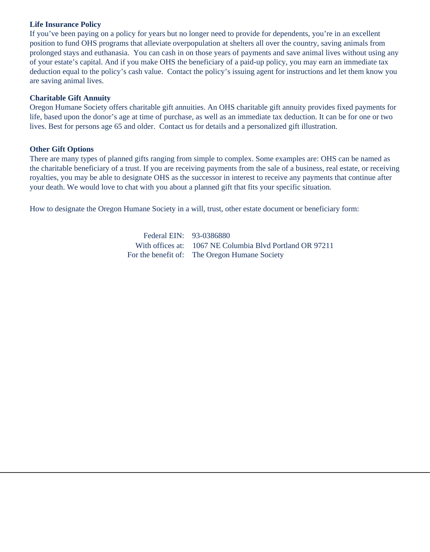#### **Life Insurance Policy**

If you've been paying on a policy for years but no longer need to provide for dependents, you're in an excellent position to fund OHS programs that alleviate overpopulation at shelters all over the country, saving animals from prolonged stays and euthanasia. You can cash in on those years of payments and save animal lives without using any of your estate's capital. And if you make OHS the beneficiary of a paid-up policy, you may earn an immediate tax deduction equal to the policy's cash value. Contact the policy's issuing agent for instructions and let them know you are saving animal lives.

#### **Charitable Gift Annuity**

Oregon Humane Society offers charitable gift annuities. An OHS charitable gift annuity provides fixed payments for life, based upon the donor's age at time of purchase, as well as an immediate tax deduction. It can be for one or two lives. Best for persons age 65 and older. Contact us for details and a personalized gift illustration.

#### **Other Gift Options**

There are many types of planned gifts ranging from simple to complex. Some examples are: OHS can be named as the charitable beneficiary of a trust. If you are receiving payments from the sale of a business, real estate, or receiving royalties, you may be able to designate OHS as the successor in interest to receive any payments that continue after your death. We would love to chat with you about a planned gift that fits your specific situation.

How to designate the Oregon Humane Society in a will, trust, other estate document or beneficiary form:

For the benefit of: The Oregon Humane Society Federal EIN: 93-0386880 With offices at: 1067 NE Columbia Blvd Portland OR 97211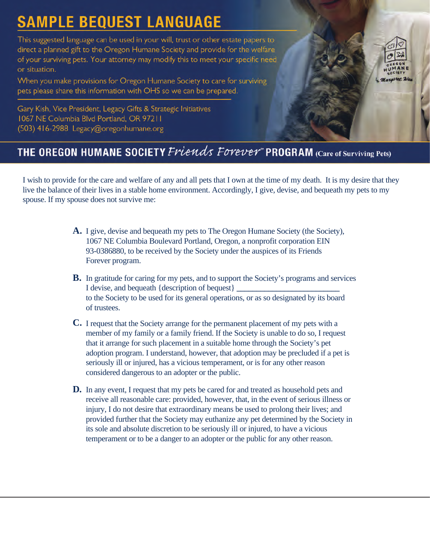## **SAMPLE BEQUEST LANGUAGE**

This suggested language can be used in your will, trust or other estate papers to direct a planned gift to the Oregon Humane Society and provide for the welfare of your surviving pets. Your attorney may modify this to meet your specific need or situation.

When you make provisions for Oregon Humane Society to care for surviving pets please share this information with OHS so we can be prepared.

Gary Kish, Vice President, Legacy Gifts & Strategic Initiatives 1067 NE Columbia Blvd Portland, OR 97211 (503) 416-2988 Legacy@oregonhumane.org



### THE OREGON HUMANE SOCIETY Friends Forever" PROGRAM (Care of Surviving Pets)

I wish to provide for the care and welfare of any and all pets that I own at the time of my death. It is my desire that they live the balance of their lives in a stable home environment. Accordingly, I give, devise, and bequeath my pets to my spouse. If my spouse does not survive me:

- **A.** I give, devise and bequeath my pets to The Oregon Humane Society (the Society), 1067 NE Columbia Boulevard Portland, Oregon, a nonprofit corporation EIN 93-0386880, to be received by the Society under the auspices of its Friends Forever program.
- **B.** In gratitude for caring for my pets, and to support the Society's programs and services I devise, and bequeath {description of bequest} to the Society to be used for its general operations, or as so designated by its board of trustees.
- **C.** I request that the Society arrange for the permanent placement of my pets with a member of my family or a family friend. If the Society is unable to do so, I request that it arrange for such placement in a suitable home through the Society's pet adoption program. I understand, however, that adoption may be precluded if a pet is seriously ill or injured, has a vicious temperament, or is for any other reason considered dangerous to an adopter or the public.
- **D.** In any event, I request that my pets be cared for and treated as household pets and receive all reasonable care: provided, however, that, in the event of serious illness or injury, I do not desire that extraordinary means be used to prolong their lives; and provided further that the Society may euthanize any pet determined by the Society in its sole and absolute discretion to be seriously ill or injured, to have a vicious temperament or to be a danger to an adopter or the public for any other reason.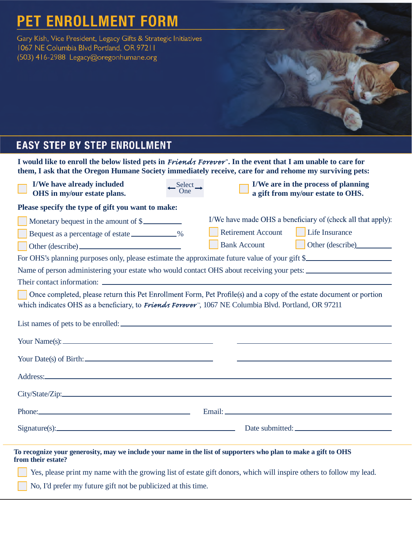### **PET ENROLLMENT FORM**

Gary Kish, Vice President, Legacy Gifts & Strategic Initiatives 1067 NE Columbia Blvd Portland, OR 97211 (503) 416-2988 Legacy@oregonhumane.org

### **EASY STEP BY STEP ENROLLMENT**

I would like to enroll the below listed pets in *Friends Forever*". In the event that I am unable to care for **them, I ask that the Oregon Humane Society immediately receive, care for and rehome my surviving pets:** 

| I/We have already included<br>OHS in my/our estate plans.                                                                                                                                                                      | $\frac{\text{Select}}{\text{One}}$ | I/We are in the process of planning<br>a gift from my/our estate to OHS.                                                                                                                                                       |
|--------------------------------------------------------------------------------------------------------------------------------------------------------------------------------------------------------------------------------|------------------------------------|--------------------------------------------------------------------------------------------------------------------------------------------------------------------------------------------------------------------------------|
| Please specify the type of gift you want to make:                                                                                                                                                                              |                                    |                                                                                                                                                                                                                                |
| Monetary bequest in the amount of \$                                                                                                                                                                                           |                                    | I/We have made OHS a beneficiary of (check all that apply):                                                                                                                                                                    |
| Bequest as a percentage of estate ____________%                                                                                                                                                                                |                                    | <b>Retirement Account</b><br>Life Insurance                                                                                                                                                                                    |
|                                                                                                                                                                                                                                |                                    | <b>Bank Account</b><br>Other (describe)                                                                                                                                                                                        |
|                                                                                                                                                                                                                                |                                    | For OHS's planning purposes only, please estimate the approximate future value of your gift \$                                                                                                                                 |
|                                                                                                                                                                                                                                |                                    | Name of person administering your estate who would contact OHS about receiving your pets:                                                                                                                                      |
|                                                                                                                                                                                                                                |                                    |                                                                                                                                                                                                                                |
| which indicates OHS as a beneficiary, to Friends Forever <sup>®</sup> , 1067 NE Columbia Blvd. Portland, OR 97211                                                                                                              |                                    | Once completed, please return this Pet Enrollment Form, Pet Profile(s) and a copy of the estate document or portion                                                                                                            |
|                                                                                                                                                                                                                                |                                    | List names of pets to be enrolled:                                                                                                                                                                                             |
|                                                                                                                                                                                                                                |                                    | <u> 1989 - Johann Harry Harry Harry Harry Harry Harry Harry Harry Harry Harry Harry Harry Harry Harry Harry Harry</u>                                                                                                          |
| Your Date(s) of Birth:                                                                                                                                                                                                         |                                    | <u> 1989 - Johann Harry Harry Harry Harry Harry Harry Harry Harry Harry Harry Harry Harry Harry Harry Harry Harry</u>                                                                                                          |
| Address: Note and the contract of the contract of the contract of the contract of the contract of the contract of the contract of the contract of the contract of the contract of the contract of the contract of the contract |                                    |                                                                                                                                                                                                                                |
|                                                                                                                                                                                                                                |                                    |                                                                                                                                                                                                                                |
|                                                                                                                                                                                                                                |                                    | Phone: Email: Email: Email: Email: Email: Email: Email: Email: Email: Email: Email: Email: Email: Email: Email: Email: Email: Email: Email: Email: Email: Email: Email: Email: Email: Email: Email: Email: Email: Email: Email |
|                                                                                                                                                                                                                                |                                    | Signature(s): Date submitted: Date submitted:                                                                                                                                                                                  |
| To recognize your generosity, may we include your name in the list of supporters who plan to make a gift to OHS<br>from their estate?                                                                                          |                                    | Yes, please print my name with the growing list of estate gift donors, which will inspire others to follow my lead.                                                                                                            |

No, I'd prefer my future gift not be publicized at this time.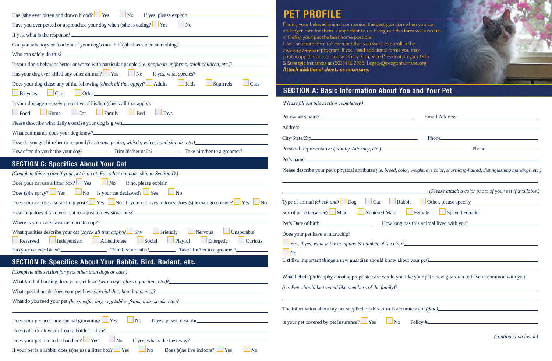| Has (s) he ever bitten and drawn blood? $\Box$ Yes $\Box$ No If yes, please explain                                                                                                                                                    | <b>PET PROFILE</b>                                                                                                                                                                                                                                                                                                                   |
|----------------------------------------------------------------------------------------------------------------------------------------------------------------------------------------------------------------------------------------|--------------------------------------------------------------------------------------------------------------------------------------------------------------------------------------------------------------------------------------------------------------------------------------------------------------------------------------|
| Have you ever petted or approached your dog when (s) he is eating? $\Box$ Yes $\Box$ No                                                                                                                                                | Finding your beloved animal companion the best guardian when you can                                                                                                                                                                                                                                                                 |
|                                                                                                                                                                                                                                        | no longer care for them is important to us. Filling out this form will assist us<br>in finding your pet the best home possible.                                                                                                                                                                                                      |
| Can you take toys or food out of your dog's mouth if (s)he has stolen something?                                                                                                                                                       | Use a separate form for each pet that you want to enroll in the                                                                                                                                                                                                                                                                      |
|                                                                                                                                                                                                                                        | Friends Forever program. If you need additional forms you may<br>photocopy this one or contact Gary Kish, Vice President, Legacy Gifts                                                                                                                                                                                               |
| Is your dog's behavior better or worse with particular people (i.e. people in uniforms, small children, etc.)?                                                                                                                         | & Strategic Initiatives at (503)416.2988: Legacy@oregonhumane.org                                                                                                                                                                                                                                                                    |
| Has your dog ever killed any other animal? $\Box$ Yes $\Box$ No If yes, what species? $\Box$                                                                                                                                           | Attach additional sheets as necessary.                                                                                                                                                                                                                                                                                               |
| Does your dog chase any of the following <i>(check all that apply</i> )? $\Box$ Adults $\Box$ Kids $\Box$ Squirrels<br>$\Box$ Cats                                                                                                     |                                                                                                                                                                                                                                                                                                                                      |
| Bicycles Cars Other Communication of Bicycles Cars Communication of the Bicycles Cars Communication of the Bicycles                                                                                                                    | <b>SECTION A: Basic Information About You and Your Pet</b>                                                                                                                                                                                                                                                                           |
| Is your dog aggressively protective of his/her (check all that apply):                                                                                                                                                                 | (Please fill out this section completely.)                                                                                                                                                                                                                                                                                           |
| $\Box$ Food $\Box$ Home $\Box$ Car $\Box$ Family $\Box$ Bed $\Box$ Toys                                                                                                                                                                |                                                                                                                                                                                                                                                                                                                                      |
| Please describe what daily exercise your dog is given.                                                                                                                                                                                 | Address.                                                                                                                                                                                                                                                                                                                             |
|                                                                                                                                                                                                                                        |                                                                                                                                                                                                                                                                                                                                      |
|                                                                                                                                                                                                                                        |                                                                                                                                                                                                                                                                                                                                      |
| How often do you bathe your dog?<br>Trim his/her nails?<br>Take him/her to a groomer?                                                                                                                                                  |                                                                                                                                                                                                                                                                                                                                      |
| <b>SECTION C: Specifics About Your Cat</b>                                                                                                                                                                                             |                                                                                                                                                                                                                                                                                                                                      |
| (Complete this section if your pet is a cat. For other animals, skip to Section D.)                                                                                                                                                    | Please describe your pet's physical attributes (i.e. breed, color, weight, eye color, short/long-haired, distinguishing markings, etc.)                                                                                                                                                                                              |
| Does your cat use a litter box? $\Box$ Yes $\Box$ No If no, please explain                                                                                                                                                             |                                                                                                                                                                                                                                                                                                                                      |
| Does (s)he spray? $\Box$ Yes $\Box$ No Is your cat declawed? $\Box$ Yes $\Box$ No                                                                                                                                                      | (Please attach a color photo of your pet if available.)                                                                                                                                                                                                                                                                              |
| Does your cat use a scratching post? $\Box$ Yes $\Box$ No If your cat lives indoors, does (s) he ever go outside? $\Box$ Yes $\Box$ No                                                                                                 | Type of animal (check one) $\Box$ Dog $\Box$ Cat $\Box$ Rabbit $\Box$ Other, please specify $\Box$                                                                                                                                                                                                                                   |
| How long does it take your cat to adjust to new situations?<br><u>Letter and the set of the set of the set of the set of the set of the set of the set of the set of the set of the set of the set of the set of the set of the se</u> | <u>the contract of the contract of the contract of the contract of the contract of the contract of the contract of the contract of the contract of the contract of the contract of the contract of the contract of the contract </u><br>Female<br><b>Spayed Female</b><br>Neutered Male<br>Sex of pet <i>(check one)</i> $\Box$ Male |
|                                                                                                                                                                                                                                        |                                                                                                                                                                                                                                                                                                                                      |
| What qualities describe your cat <i>(check all that apply)</i> ? $\Box$ Shy $\Box$ Friendly Nervous<br>$\Box$ Unsociable                                                                                                               | Does your pet have a microchip?                                                                                                                                                                                                                                                                                                      |
| Independent Affectionate<br>$\Box$ Social<br>$\Box$ Playful<br>$\Box$ Energetic<br>Reserved<br><b>Curious</b>                                                                                                                          | $\Box$ Yes, If yes, what is the company & number of the chip? $\Box$                                                                                                                                                                                                                                                                 |
|                                                                                                                                                                                                                                        | $\Box$ No                                                                                                                                                                                                                                                                                                                            |
| <b>SECTION D: Specifics About Your Rabbit, Bird, Rodent, etc.</b>                                                                                                                                                                      | List five important things a new guardian should know about your pet?                                                                                                                                                                                                                                                                |
| (Complete this section for pets other than dogs or cats.)                                                                                                                                                                              | What beliefs/philosophy about appropriate care would you like your pet's new guardian to have in common with you                                                                                                                                                                                                                     |
|                                                                                                                                                                                                                                        | $(i.e. \; Pets \; should \; be \; treated \; like \; members \; of \; the \; family)?$ $\qquad \qquad \qquad$                                                                                                                                                                                                                        |
|                                                                                                                                                                                                                                        |                                                                                                                                                                                                                                                                                                                                      |
|                                                                                                                                                                                                                                        |                                                                                                                                                                                                                                                                                                                                      |
|                                                                                                                                                                                                                                        | The information about my pet supplied on this form is accurate as of (date)<br>The information about my pet supplied on this form is accurate as of (date)                                                                                                                                                                           |
| Does your pet need any special grooming? $\Box$ Yes<br>If yes, please describe<br>$\Box$ No                                                                                                                                            | Is your pet covered by pet insurance? $\Box$ Yes<br>$Policy \#$<br>$\Box$ No                                                                                                                                                                                                                                                         |
| Does (s) he drink water from a bottle or dish?<br><u> 1980 - Jan Barbara Barat, martin da basar da basar da basar da basar da basar da basar da basar da basar da b</u>                                                                | <i>(continued on inside)</i>                                                                                                                                                                                                                                                                                                         |
| Does your pet like to be handled? $\Box$ Yes $\Box$ No                                                                                                                                                                                 |                                                                                                                                                                                                                                                                                                                                      |
| $\Box$ No<br>Does (s) he live indoors? $\Box$ Yes<br>If your pet is a rabbit, does (s) he use a litter box? $\Box$ Yes<br>$\Box$ No                                                                                                    |                                                                                                                                                                                                                                                                                                                                      |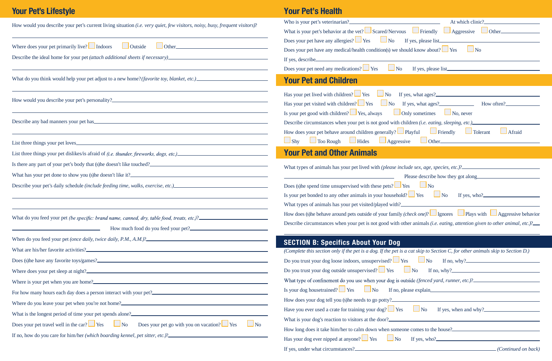| How would you describe your pet's current living situation (i.e. very quiet, few visitors, noisy, busy, frequent visitors)?                                                                                                            | Who is your pet's vetering<br>What is your pet's behavior |
|----------------------------------------------------------------------------------------------------------------------------------------------------------------------------------------------------------------------------------------|-----------------------------------------------------------|
|                                                                                                                                                                                                                                        | Does your pet have any al                                 |
| Where does your pet primarily live? $\Box$ Indoors<br>$\Box$ Outside                                                                                                                                                                   | Does your pet have any m                                  |
| Describe the ideal home for your pet (attach additional sheets if necessary)__________________________________                                                                                                                         | If yes, describe.                                         |
| ,我们也不会有什么。""我们的人,我们也不会有什么?""我们的人,我们也不会有什么?""我们的人,我们的人,我们的人,我们的人,我们的人,我们的人,我们的人,我                                                                                                                                                       | Does your pet need any m                                  |
|                                                                                                                                                                                                                                        | <b>Your Pet and Ch</b>                                    |
| ,我们也不能在这里,我们也不能不能不能不能不能不能不能不能不能不能不能不能不能不能不能不能。""我们不能不能不能不能不能不能不能不能不能不能不能不能不能不能不能                                                                                                                                                       | Has your pet lived with ch                                |
|                                                                                                                                                                                                                                        | Has your pet visited with                                 |
|                                                                                                                                                                                                                                        | Is your pet good with chile                               |
| Describe any bad manners your pet has experience and the set of the set of the set of the set of the set of the set of the set of the set of the set of the set of the set of the set of the set of the set of the set of the          | Describe circumstances w                                  |
| List three things your pet loves                                                                                                                                                                                                       | How does your pet behave<br>$\Box$ Shy<br>$\Box$ Too Roug |
|                                                                                                                                                                                                                                        | <b>Your Pet and Otl</b>                                   |
|                                                                                                                                                                                                                                        |                                                           |
|                                                                                                                                                                                                                                        | What types of animals has                                 |
| Describe your pet's daily schedule (include feeding time, walks, exercise, etc.)______________________________                                                                                                                         | Does (s) he spend time uns                                |
|                                                                                                                                                                                                                                        | Is your pet bonded to any                                 |
|                                                                                                                                                                                                                                        | What types of animals has                                 |
| What do you feed your pet (be specific: brand name, canned, dry, table food, treats, etc.)?_______________                                                                                                                             | How does (s)he behave arc                                 |
| How much food do you feed your pet?<br><u> 1989 - Johann Barn, mars ann an t-Amhair ann an t-A</u>                                                                                                                                     | Describe circumstances w                                  |
|                                                                                                                                                                                                                                        |                                                           |
|                                                                                                                                                                                                                                        | <b>SECTION B: Speci</b><br>(Complete this section onl     |
| Does (s) he have any favorite toys/games?<br><u>Letter and the set of the set of the set of the set of the set of the set of the set of the set of the set of the set of the set of the set of the set of the set of the set of th</u> | Do you trust your dog loo                                 |
|                                                                                                                                                                                                                                        | Do you trust your dog out                                 |
| Where is your pet when you are home?                                                                                                                                                                                                   | What type of confinement                                  |
|                                                                                                                                                                                                                                        | Is your dog housetrained?                                 |
| Where do you leave your pet when you're not home?<br><u> Where do you leave your pet when you're not home?</u>                                                                                                                         | How does your dog tell yo                                 |
| What is the longest period of time your pet spends alone?<br><u>Letter and the longest period of time your pet spends alone?</u>                                                                                                       | Have you ever used a crate                                |
| Does your pet travel well in the car? $\Box$ Yes $\Box$ No Does your pet go with you on vacation? $\Box$ Yes<br>$\Box$ No                                                                                                              | What is your dog's reaction                               |
|                                                                                                                                                                                                                                        | How long does it take him                                 |
| If no, how do you care for him/her (which boarding kennel, pet sitter, etc.)?_________________________________                                                                                                                         | Has your dog ever nipped                                  |

### **Your Pet's Lifestyle Your Pet's Health**

| At which clinic?                                                                                                                                                                 |
|----------------------------------------------------------------------------------------------------------------------------------------------------------------------------------|
| What is your pet's behavior at the vet? $\Box$ Scared/Nervous $\Box$ Friendly $\Box$ Aggressive<br>$\Box$ Other                                                                  |
| Does your pet have any allergies? $\Box$ Yes<br>$\Box$ No<br>If yes, please list.                                                                                                |
| Does your pet have any medical/health condition(s) we should know about? $\Box$ Yes<br>N <sub>o</sub>                                                                            |
| If yes, describe                                                                                                                                                                 |
| Does your pet need any medications? <u>See</u> Yes<br>$\Box$ No                                                                                                                  |
| <b>Your Pet and Children</b>                                                                                                                                                     |
| Has your pet lived with children? $\Box$ Yes $\Box$ No If yes, what ages?                                                                                                        |
| Has your pet visited with children? $\Box$ Yes $\Box$ No If yes, what ages? How often?                                                                                           |
| Is your pet good with children? $\Box$ Yes, always $\Box$ Only sometimes<br>$\Box$ No, never                                                                                     |
| Describe circumstances when your pet is not good with children (i.e. eating, sleeping, etc.)                                                                                     |
| How does your pet behave around children generally? $\Box$ Playful $\Box$ Friendly<br>$\Box$ Tolerant<br>Afraid                                                                  |
| $\Box$ Too Rough $\Box$ Hides $\Box$ Aggressive<br>$\Box$ Shy                                                                                                                    |
| <b>Your Pet and Other Animals</b>                                                                                                                                                |
|                                                                                                                                                                                  |
| What types of animals has your pet lived with (please include sex, age, species, etc.)?_______________________                                                                   |
| Please describe how they got along                                                                                                                                               |
| Does (s) he spend time unsupervised with these pets? $\Box$ Yes<br>N <sub>o</sub>                                                                                                |
| Is your pet bonded to any other animals in your household? $\Box$ Yes<br>If yes, who? $\overline{\phantom{a}}$<br>$\Box$ No                                                      |
| What types of animals has your pet visited/played with?<br>How does (s) he behave around pets outside of your family <i>(check one)</i> ? Ignores Plays with Aggressive behavior |
|                                                                                                                                                                                  |
| Describe circumstances when your pet is not good with other animals (i.e. eating, attention given to other animal, etc.)?__                                                      |
| <b>SECTION B: Specifics About Your Dog</b>                                                                                                                                       |
| (Complete this section only if the pet is a dog. If the pet is a cat skip to Section C, for other animals skip to Section D.)                                                    |
| Do you trust your dog loose indoors, unsupervised? $\Box$ Yes $\Box$ No If no, why?                                                                                              |
| Do you trust your dog outside unsupervised? $\Box$ Yes $\Box$ No If no, why?                                                                                                     |
| What type of confinement do you use when your dog is outside (fenced yard, runner, etc.)?                                                                                        |
| Is your dog housetrained? $\Box$ Yes $\Box$ No If no, please explain                                                                                                             |
|                                                                                                                                                                                  |
| Have you ever used a crate for training your dog? $\Box$ Yes<br>$\Box$ No If yes, when and why?                                                                                  |
|                                                                                                                                                                                  |
| How long does it take him/her to calm down when someone comes to the house?                                                                                                      |
| Has your dog ever nipped at anyone? $\Box$ Yes $\Box$ No<br>If yes, who?                                                                                                         |
|                                                                                                                                                                                  |

| Who is your pet's veterinarian?<br><u> </u><br>At which clinic?<br><u> 1980 - Johann Barbara, martxa a</u>                    |
|-------------------------------------------------------------------------------------------------------------------------------|
| What is your pet's behavior at the vet? Scared/Nervous Friendly $\Box$ Aggressive<br>$\Box$ Other                             |
| Does your pet have any allergies? $\Box$ Yes<br>$\Box$ No                                                                     |
| Does your pet have any medical/health condition(s) we should know about? $\Box$ Yes<br><b>No</b>                              |
| If yes, describe                                                                                                              |
| Does your pet need any medications? Set Yes<br>$\log$<br>If yes, please list                                                  |
| <b>Your Pet and Children</b>                                                                                                  |
| Has your pet lived with children? $\Box$ Yes $\Box$ No If yes, what ages?                                                     |
| Has your pet visited with children? $\Box$ Yes $\Box$ No If yes, what ages? How often?                                        |
| Is your pet good with children? $\Box$ Yes, always<br>Only sometimes                                                          |
| $\Box$ No, never                                                                                                              |
| Describe circumstances when your pet is not good with children (i.e. eating, sleeping, etc.)                                  |
| How does your pet behave around children generally? $\Box$ Playful $\Box$ Friendly<br>$\Box$ Tolerant<br>$\Box$ Afraid        |
| $\Box$ Too Rough $\Box$ Hides $\Box$ Aggressive<br>$\Box$ Other $\Box$<br>$\Box$ Shy                                          |
| <b>Your Pet and Other Animals</b>                                                                                             |
|                                                                                                                               |
| Please describe how they got along                                                                                            |
| Does (s) he spend time unsupervised with these pets? $\Box$ Yes<br>$\log$                                                     |
| Is your pet bonded to any other animals in your household? $\Box$ Yes<br>$\Box$ No                                            |
| What types of animals has your pet visited/played with?_                                                                      |
| How does (s) he behave around pets outside of your family <i>(check one)</i> ? Ignores Plays with Aggressive behavior         |
| Describe circumstances when your pet is not good with other animals (i.e. eating, attention given to other animal, etc.)?__   |
|                                                                                                                               |
| <b>SECTION B: Specifics About Your Dog</b>                                                                                    |
| (Complete this section only if the pet is a dog. If the pet is a cat skip to Section C, for other animals skip to Section D.) |
| Do you trust your dog loose indoors, unsupervised? $\Box$ Yes $\Box$ No If no, why?                                           |
| Do you trust your dog outside unsupervised? $\Box$ Yes $\Box$ No If no, why?                                                  |
| What type of confinement do you use when your dog is outside (fenced yard, runner, etc.)?                                     |
| Is your dog house trained? $\Box$ Yes $\Box$ No                                                                               |
|                                                                                                                               |
| Have you ever used a crate for training your dog? $\Box$ Yes $\Box$ No If yes, when and why?                                  |
|                                                                                                                               |
| How long does it take him/her to calm down when someone comes to the house?                                                   |
| Has your dog ever nipped at anyone? $\Box$ Yes<br>$\Box$ No If yes, who?                                                      |
| If yes, under what circumstances?<br>(Continued on back)                                                                      |